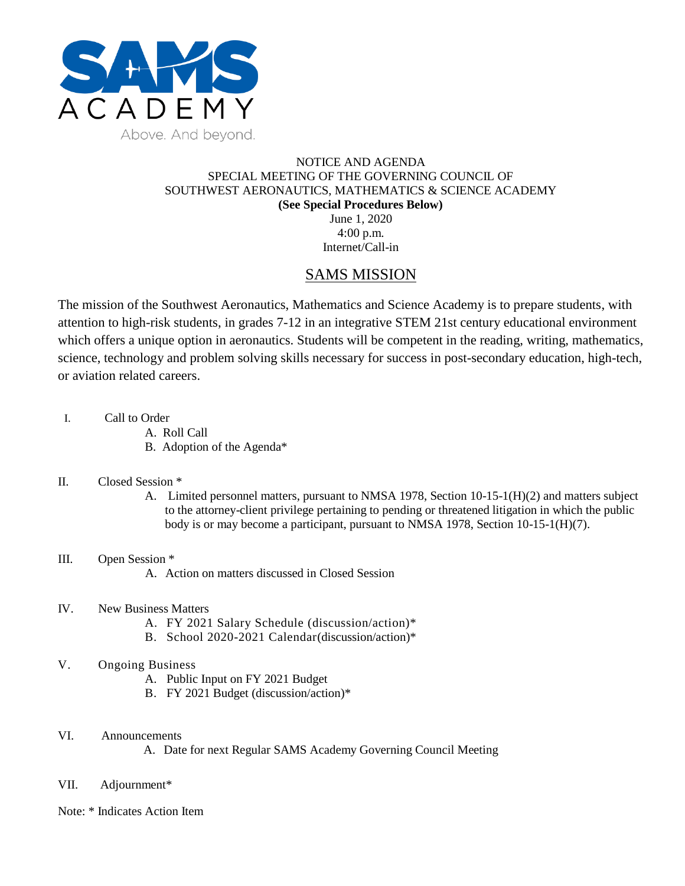

#### NOTICE AND AGENDA SPECIAL MEETING OF THE GOVERNING COUNCIL OF SOUTHWEST AERONAUTICS, MATHEMATICS & SCIENCE ACADEMY **(See Special Procedures Below)** June 1, 2020 4:00 p.m.

Internet/Call-in

# SAMS MISSION

The mission of the Southwest Aeronautics, Mathematics and Science Academy is to prepare students, with attention to high-risk students, in grades 7-12 in an integrative STEM 21st century educational environment which offers a unique option in aeronautics. Students will be competent in the reading, writing, mathematics, science, technology and problem solving skills necessary for success in post-secondary education, high-tech, or aviation related careers.

- I. Call to Order
	- A. Roll Call
	- B. Adoption of the Agenda\*

#### II. Closed Session \*

- A. Limited personnel matters, pursuant to NMSA 1978, Section 10-15-1(H)(2) and matters subject to the attorney-client privilege pertaining to pending or threatened litigation in which the public body is or may become a participant, pursuant to NMSA 1978, Section 10-15-1(H)(7).
- III. Open Session \*
	- A. Action on matters discussed in Closed Session
- IV. New Business Matters
	- A. FY 2021 Salary Schedule (discussion/action)\*
	- B. School 2020-2021 Calendar(discussion/action)\*
- V. Ongoing Business
	- A. Public Input on FY 2021 Budget
	- B. FY 2021 Budget (discussion/action)\*
- VI. Announcements

A. Date for next Regular SAMS Academy Governing Council Meeting

- VII. Adjournment\*
- Note: \* Indicates Action Item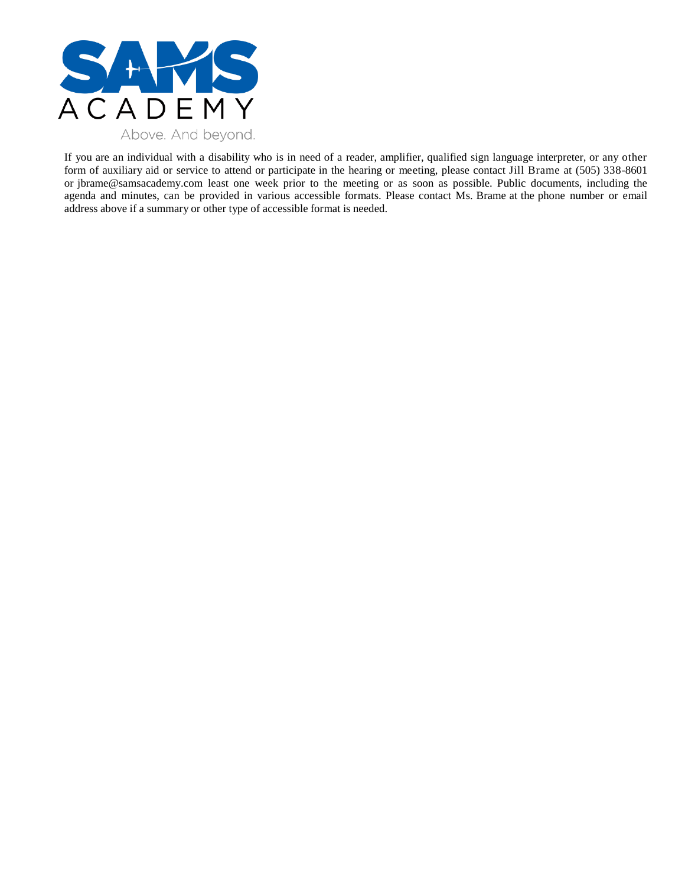

If you are an individual with a disability who is in need of a reader, amplifier, qualified sign language interpreter, or any other form of auxiliary aid or service to attend or participate in the hearing or meeting, please contact Jill Brame at (505) 338-8601 or jbrame@samsacademy.com least one week prior to the meeting or as soon as possible. Public documents, including the agenda and minutes, can be provided in various accessible formats. Please contact Ms. Brame at the phone number or email address above if a summary or other type of accessible format is needed.